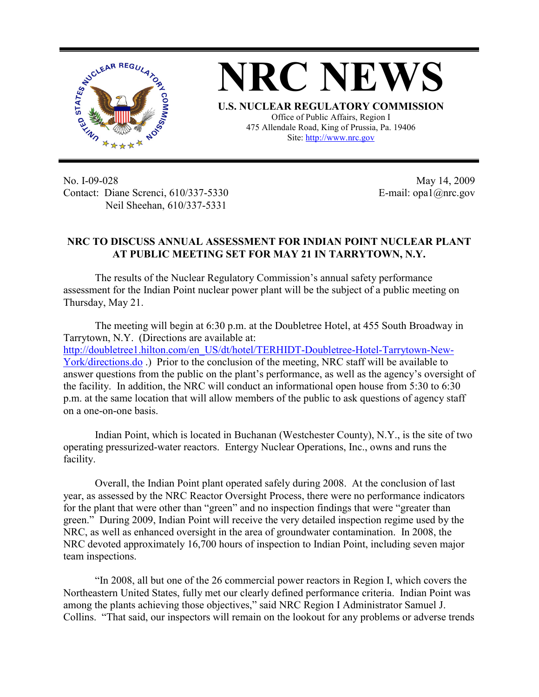

**NRC NEWS U.S. NUCLEAR REGULATORY COMMISSION** Office of Public Affairs, Region I 475 Allendale Road, King of Prussia, Pa. 19406

Site: http://www.nrc.gov

No. I-09-028 Contact: Diane Screnci, 610/337-5330 Neil Sheehan, 610/337-5331

May 14, 2009 E-mail: opa1@nrc.gov

## **NRC TO DISCUSS ANNUAL ASSESSMENT FOR INDIAN POINT NUCLEAR PLANT AT PUBLIC MEETING SET FOR MAY 21 IN TARRYTOWN, N.Y.**

The results of the Nuclear Regulatory Commission's annual safety performance assessment for the Indian Point nuclear power plant will be the subject of a public meeting on Thursday, May 21.

The meeting will begin at 6:30 p.m. at the Doubletree Hotel, at 455 South Broadway in Tarrytown, N.Y. (Directions are available at: http://doubletree1.hilton.com/en\_US/dt/hotel/TERHIDT-Doubletree-Hotel-Tarrytown-New-York/directions.do .) Prior to the conclusion of the meeting, NRC staff will be available to answer questions from the public on the plant's performance, as well as the agency's oversight of the facility. In addition, the NRC will conduct an informational open house from 5:30 to 6:30 p.m. at the same location that will allow members of the public to ask questions of agency staff on a one-on-one basis.

Indian Point, which is located in Buchanan (Westchester County), N.Y., is the site of two operating pressurized-water reactors. Entergy Nuclear Operations, Inc., owns and runs the facility.

Overall, the Indian Point plant operated safely during 2008. At the conclusion of last year, as assessed by the NRC Reactor Oversight Process, there were no performance indicators for the plant that were other than "green" and no inspection findings that were "greater than green." During 2009, Indian Point will receive the very detailed inspection regime used by the NRC, as well as enhanced oversight in the area of groundwater contamination. In 2008, the NRC devoted approximately 16,700 hours of inspection to Indian Point, including seven major team inspections.

"In 2008, all but one of the 26 commercial power reactors in Region I, which covers the Northeastern United States, fully met our clearly defined performance criteria. Indian Point was among the plants achieving those objectives," said NRC Region I Administrator Samuel J. Collins. "That said, our inspectors will remain on the lookout for any problems or adverse trends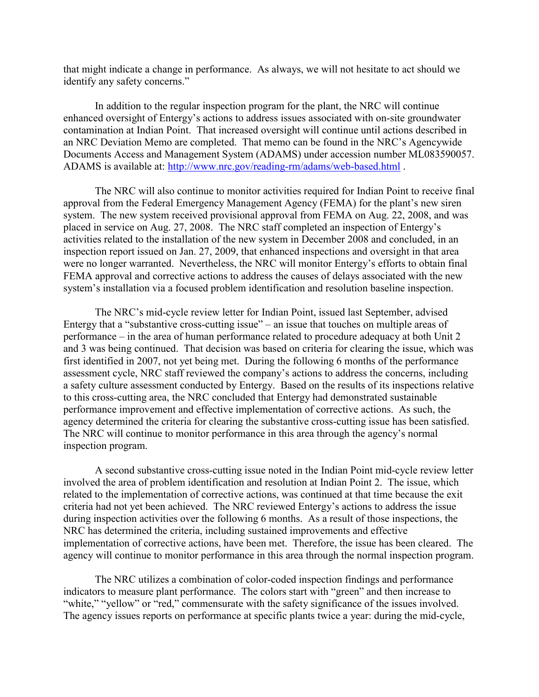that might indicate a change in performance. As always, we will not hesitate to act should we identify any safety concerns."

In addition to the regular inspection program for the plant, the NRC will continue enhanced oversight of Entergy's actions to address issues associated with on-site groundwater contamination at Indian Point. That increased oversight will continue until actions described in an NRC Deviation Memo are completed. That memo can be found in the NRC's Agencywide Documents Access and Management System (ADAMS) under accession number ML083590057. ADAMS is available at: http://www.nrc.gov/reading-rm/adams/web-based.html .

The NRC will also continue to monitor activities required for Indian Point to receive final approval from the Federal Emergency Management Agency (FEMA) for the plant's new siren system. The new system received provisional approval from FEMA on Aug. 22, 2008, and was placed in service on Aug. 27, 2008. The NRC staff completed an inspection of Entergy's activities related to the installation of the new system in December 2008 and concluded, in an inspection report issued on Jan. 27, 2009, that enhanced inspections and oversight in that area were no longer warranted. Nevertheless, the NRC will monitor Entergy's efforts to obtain final FEMA approval and corrective actions to address the causes of delays associated with the new system's installation via a focused problem identification and resolution baseline inspection.

The NRC's mid-cycle review letter for Indian Point, issued last September, advised Entergy that a "substantive cross-cutting issue" – an issue that touches on multiple areas of performance – in the area of human performance related to procedure adequacy at both Unit 2 and 3 was being continued. That decision was based on criteria for clearing the issue, which was first identified in 2007, not yet being met. During the following 6 months of the performance assessment cycle, NRC staff reviewed the company's actions to address the concerns, including a safety culture assessment conducted by Entergy. Based on the results of its inspections relative to this cross-cutting area, the NRC concluded that Entergy had demonstrated sustainable performance improvement and effective implementation of corrective actions. As such, the agency determined the criteria for clearing the substantive cross-cutting issue has been satisfied. The NRC will continue to monitor performance in this area through the agency's normal inspection program.

A second substantive cross-cutting issue noted in the Indian Point mid-cycle review letter involved the area of problem identification and resolution at Indian Point 2. The issue, which related to the implementation of corrective actions, was continued at that time because the exit criteria had not yet been achieved. The NRC reviewed Entergy's actions to address the issue during inspection activities over the following 6 months. As a result of those inspections, the NRC has determined the criteria, including sustained improvements and effective implementation of corrective actions, have been met. Therefore, the issue has been cleared. The agency will continue to monitor performance in this area through the normal inspection program.

The NRC utilizes a combination of color-coded inspection findings and performance indicators to measure plant performance. The colors start with "green" and then increase to "white," "yellow" or "red," commensurate with the safety significance of the issues involved. The agency issues reports on performance at specific plants twice a year: during the mid-cycle,